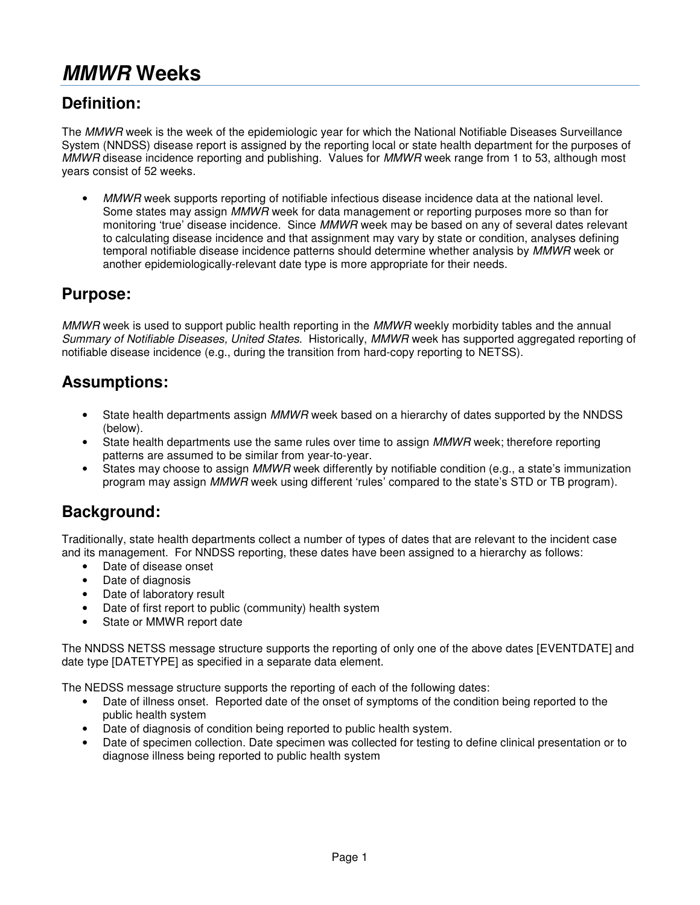# **MMWR Weeks**

# **Definition:**

The *MMWR* week is the week of the epidemiologic year for which the National Notifiable Diseases Surveillance System (NNDSS) disease report is assigned by the reporting local or state health department for the purposes of MMWR disease incidence reporting and publishing. Values for MMWR week range from 1 to 53, although most years consist of 52 weeks.

 $\overline{\phantom{a}}$  Some states may assign MMWR week for data management or reporting purposes more so than for monitoring 'true' disease incidence. Since MMWR week may be based on any of several dates relevant MMWR week supports reporting of notifiable infectious disease incidence data at the national level. to calculating disease incidence and that assignment may vary by state or condition, analyses defining temporal notifiable disease incidence patterns should determine whether analysis by MMWR week or another epidemiologically-relevant date type is more appropriate for their needs.

#### **Purpose:**

MMWR week is used to support public health reporting in the MMWR weekly morbidity tables and the annual Summary of Notifiable Diseases, United States. Historically, MMWR week has supported aggregated reporting of notifiable disease incidence (e.g., during the transition from hard-copy reporting to NETSS).

#### **Assumptions:**

- State health departments assign MMWR week based on a hierarchy of dates supported by the NNDSS (below).
- State health departments use the same rules over time to assign MMWR week; therefore reporting patterns are assumed to be similar from year-to-year.
- States may choose to assign MMWR week differently by notifiable condition (e.g., a state's immunization program may assign MMWR week using different 'rules' compared to the state's STD or TB program).

### **Background:**

 Traditionally, state health departments collect a number of types of dates that are relevant to the incident case and its management. For NNDSS reporting, these dates have been assigned to a hierarchy as follows:

- • Date of disease onset
- Date of diagnosis
- Date of laboratory result
- Date of first report to public (community) health system
- Bate or first report to public (<br>• State or MMWR report date  $\bullet$

 The NNDSS NETSS message structure supports the reporting of only one of the above dates [EVENTDATE] and ∶ date type [DATETYPE] as specified in a separate data element.

The NEDSS message structure supports the reporting of each of the following dates:

- $\bullet$ Date of illness onset. Reported date of the onset of symptoms of the condition being reported to the public health system
- $\overline{a}$ Date of diagnosis of condition being reported to public health system.
- -<br>-Date of specimen collection. Date specimen was collected for testing to define clinical presentation or to diagnose illness being reported to public health system